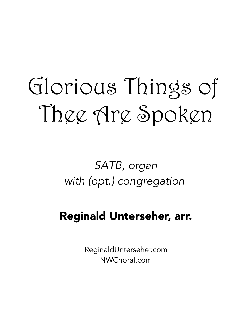# Glorious Things of Thee Are Spoken

SATB, organ with (opt.) congregation

## Reginald Unterseher, arr.

ReginaldUnterseher.com NWChoral.com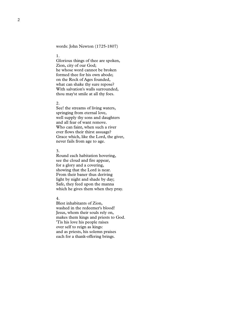words: John Newton (1725-1807)

#### 1.

Glorious things of thee are spoken, Zion, city of our God; he whose word cannot be broken formed thee for his own abode; on the Rock of Ages founded, what can shake thy sure repose? With salvation's walls surrounded, thou may'st smile at all thy foes.

#### 2.

See! the streams of living waters, springing from eternal love, well supply thy sons and daughters and all fear of want remove. Who can faint, when such a river ever flows their thirst assuage? Grace which, like the Lord, the giver, never fails from age to age.

#### 3.

Round each habitation hovering, see the cloud and fire appear, for a glory and a covering, showing that the Lord is near. From their baner thus deriving light by night and shade by day; Safe, they feed upon the manna which he gives them when they pray.

#### 4.

Blest inhabitants of Zion, washed in the redeemer's blood! Jesus, whom their souls rely on, makes them kings and priests to God. 'Tis his love his people raises over self to reign as kings: and as priests, his solemn praises each for a thank-offering brings.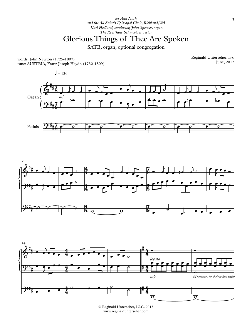### Glorious Things of Thee Are Spoken

SATB, organ, optional congregation

words: John Newton (1725-1807) tune: AUSTRIA, Franz Joseph Haydn (1732-1809) Reginald Unterseher, *arr*. June, 2013







© Reginald Unterseher, LLC, 2013 www.reginaldunterseher.com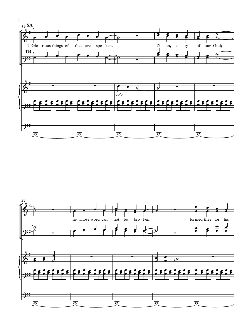

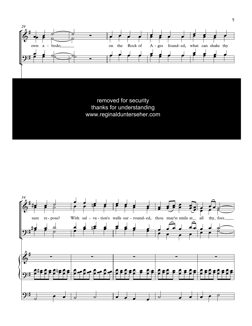

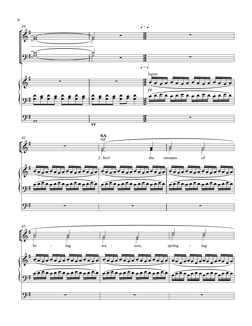



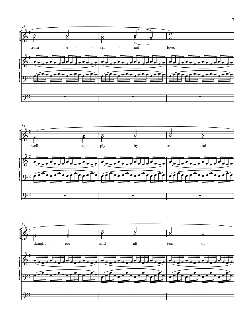



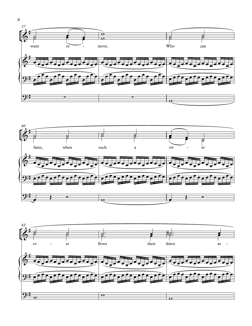





8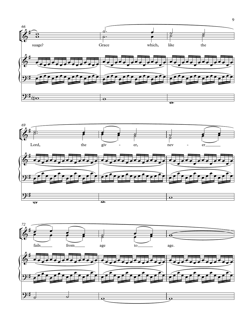



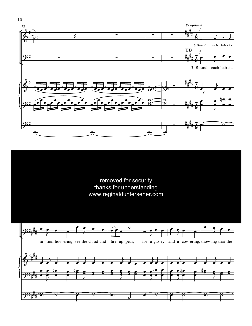



 $10\,$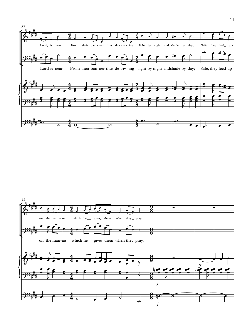

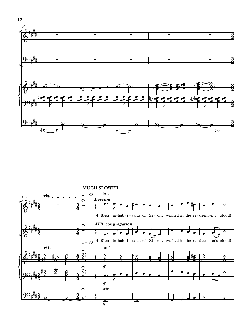

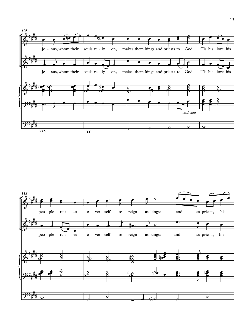